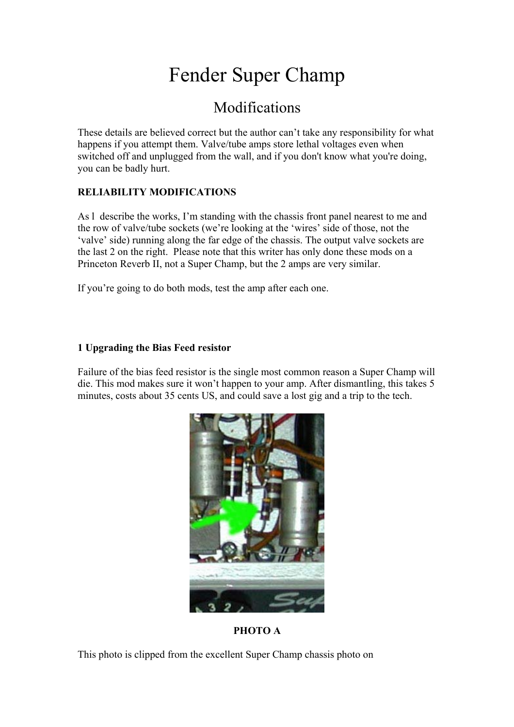# Fender Super Champ

## Modifications

These details are believed correct but the author can't take any responsibility for what happens if you attempt them. Valve/tube amps store lethal voltages even when switched off and unplugged from the wall, and if you don't know what you're doing, you can be badly hurt.

### **RELIABILITY MODIFICATIONS**

As l describe the works, I'm standing with the chassis front panel nearest to me and the row of valve/tube sockets (we're looking at the 'wires' side of those, not the 'valve' side) running along the far edge of the chassis. The output valve sockets are the last 2 on the right. Please note that this writer has only done these mods on a Princeton Reverb II, not a Super Champ, but the 2 amps are very similar.

If you're going to do both mods, test the amp after each one.

#### **1 Upgrading the Bias Feed resistor**

Failure of the bias feed resistor is the single most common reason a Super Champ will die. This mod makes sure it won't happen to your amp. After dismantling, this takes 5 minutes, costs about 35 cents US, and could save a lost gig and a trip to the tech.



**PHOTO A** 

This photo is clipped from the excellent Super Champ chassis photo on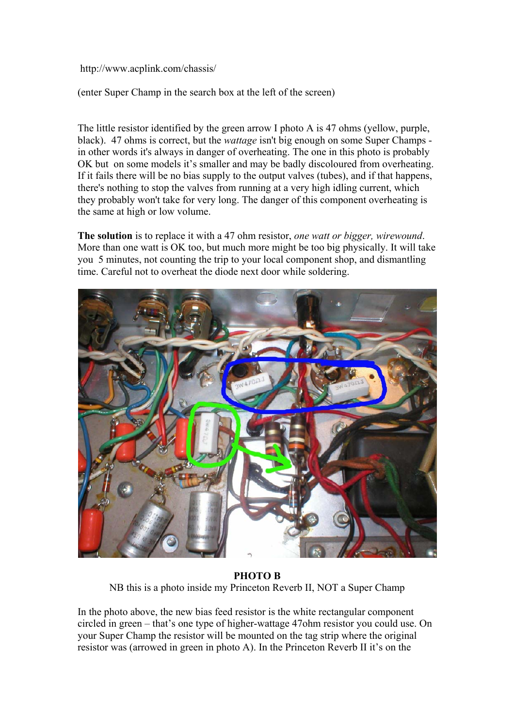#### http://www.acplink.com/chassis/

(enter Super Champ in the search box at the left of the screen)

The little resistor identified by the green arrow I photo A is 47 ohms (yellow, purple, black). 47 ohms is correct, but the *wattage* isn't big enough on some Super Champs in other words it's always in danger of overheating. The one in this photo is probably OK but on some models it's smaller and may be badly discoloured from overheating. If it fails there will be no bias supply to the output valves (tubes), and if that happens, there's nothing to stop the valves from running at a very high idling current, which they probably won't take for very long. The danger of this component overheating is the same at high or low volume.

**The solution** is to replace it with a 47 ohm resistor, *one watt or bigger, wirewound*. More than one watt is OK too, but much more might be too big physically. It will take you 5 minutes, not counting the trip to your local component shop, and dismantling time. Careful not to overheat the diode next door while soldering.



**PHOTO B** NB this is a photo inside my Princeton Reverb II, NOT a Super Champ

In the photo above, the new bias feed resistor is the white rectangular component circled in green – that's one type of higher-wattage 47ohm resistor you could use. On your Super Champ the resistor will be mounted on the tag strip where the original resistor was (arrowed in green in photo A). In the Princeton Reverb II it's on the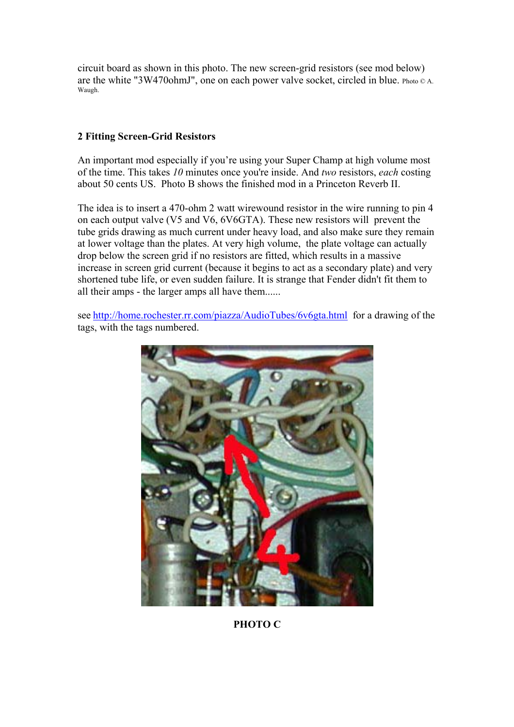circuit board as shown in this photo. The new screen-grid resistors (see mod below) are the white "3W470ohmJ", one on each power valve socket, circled in blue. Photo © A. Waugh.

#### **2 Fitting Screen-Grid Resistors**

An important mod especially if you're using your Super Champ at high volume most of the time. This takes *10* minutes once you're inside. And *two* resistors, *each* costing about 50 cents US. Photo B shows the finished mod in a Princeton Reverb II.

The idea is to insert a 470-ohm 2 watt wirewound resistor in the wire running to pin 4 on each output valve (V5 and V6, 6V6GTA). These new resistors will prevent the tube grids drawing as much current under heavy load, and also make sure they remain at lower voltage than the plates. At very high volume, the plate voltage can actually drop below the screen grid if no resistors are fitted, which results in a massive increase in screen grid current (because it begins to act as a secondary plate) and very shortened tube life, or even sudden failure. It is strange that Fender didn't fit them to all their amps - the larger amps all have them......

see http://home.rochester.rr.com/piazza/AudioTubes/6v6gta.html for a drawing of the tags, with the tags numbered.



**PHOTO C**